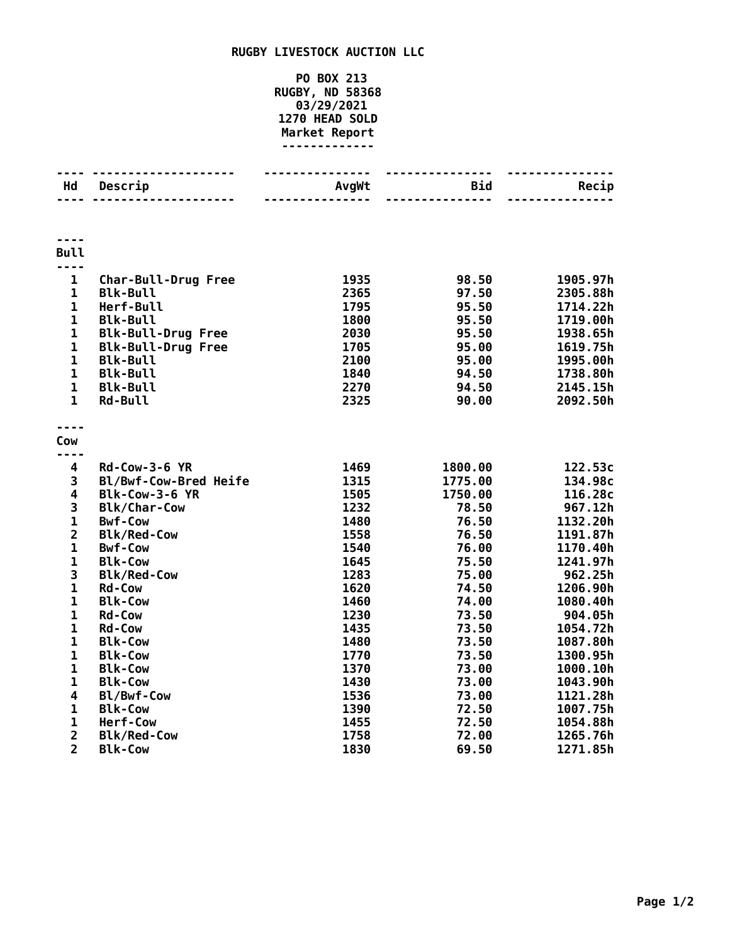## **RUGBY LIVESTOCK AUCTION LLC**

## **PO BOX 213 RUGBY, ND 58368 03/29/2021 HEAD SOLD Market Report -------------**

| Hd                   | Descrip                               | AvgWt        | Bid              | Recip              |
|----------------------|---------------------------------------|--------------|------------------|--------------------|
|                      |                                       |              | .                |                    |
| <b>Bull</b>          |                                       |              |                  |                    |
| ----<br>$\mathbf{1}$ | <b>Char-Bull-Drug Free</b>            | 1935         | 98.50            | 1905.97h           |
| $\mathbf{1}$         | <b>Blk-Bull</b>                       | 2365         | 97.50            | 2305.88h           |
| $\mathbf{1}$         | Herf-Bull                             | 1795         | 95.50            | 1714.22h           |
| $\mathbf{1}$         | <b>Blk-Bull</b>                       | 1800         | 95.50            | 1719.00h           |
| $\mathbf{1}$         | <b>Blk-Bull-Drug Free</b>             | 2030         | 95.50            | 1938.65h           |
| $\mathbf{1}$         | <b>Blk-Bull-Drug Free</b>             | 1705         | 95.00            | 1619.75h           |
| $\mathbf{1}$         | <b>Blk-Bull</b>                       | 2100         | 95.00            | 1995.00h           |
| $\mathbf{1}$         | <b>Blk-Bull</b>                       | 1840         | 94.50            | 1738.80h           |
| $\mathbf{1}$         | <b>Blk-Bull</b>                       | 2270         | 94.50            | 2145.15h           |
| $\mathbf{1}$         | <b>Rd-Bull</b>                        | 2325         | 90.00            | 2092.50h           |
|                      |                                       |              |                  |                    |
| Cow                  |                                       |              |                  |                    |
| ----                 |                                       |              |                  |                    |
| 4                    | <b>Rd-Cow-3-6 YR</b>                  | 1469         | 1800.00          | 122.53c            |
| 3<br>4               | Bl/Bwf-Cow-Bred Heife                 | 1315         | 1775.00          | 134.98c            |
| 3                    | Blk-Cow-3-6 YR                        | 1505<br>1232 | 1750.00<br>78.50 | 116.28c<br>967.12h |
| $\mathbf{1}$         | <b>Blk/Char-Cow</b><br><b>Bwf-Cow</b> | 1480         | 76.50            | 1132.20h           |
| $\overline{2}$       | <b>Blk/Red-Cow</b>                    | 1558         | 76.50            | 1191.87h           |
| $\mathbf{1}$         | <b>Bwf-Cow</b>                        | 1540         | 76.00            | 1170.40h           |
| $\mathbf{1}$         | <b>Blk-Cow</b>                        | 1645         | 75.50            | 1241.97h           |
| 3                    | <b>Blk/Red-Cow</b>                    | 1283         | 75.00            | 962.25h            |
| $\mathbf 1$          | <b>Rd-Cow</b>                         | 1620         | 74.50            | 1206.90h           |
| $\mathbf{1}$         | <b>Blk-Cow</b>                        | 1460         | 74.00            | 1080.40h           |
| $\mathbf 1$          | <b>Rd-Cow</b>                         | 1230         | 73.50            | 904.05h            |
| $\mathbf 1$          | <b>Rd-Cow</b>                         | 1435         | 73.50            | 1054.72h           |
| $\mathbf 1$          | <b>Blk-Cow</b>                        | 1480         | 73.50            | 1087.80h           |
| $\mathbf{1}$         | <b>Blk-Cow</b>                        | 1770         | 73.50            | 1300.95h           |
| $\mathbf 1$          | <b>Blk-Cow</b>                        | 1370         | 73.00            | 1000.10h           |
| $\mathbf 1$          | <b>Blk-Cow</b>                        | 1430         | 73.00            | 1043.90h           |
| 4                    | Bl/Bwf-Cow                            | 1536         | 73.00            | 1121.28h           |
| $\mathbf{1}$         | <b>Blk-Cow</b>                        | 1390         | 72.50            | 1007.75h           |
| $\mathbf 1$          | Herf-Cow                              | 1455         | 72.50            | 1054.88h           |
| $\overline{2}$       | <b>Blk/Red-Cow</b>                    | 1758         | 72.00            | 1265.76h           |
| $\overline{2}$       | <b>Blk-Cow</b>                        | 1830         | 69.50            | 1271.85h           |